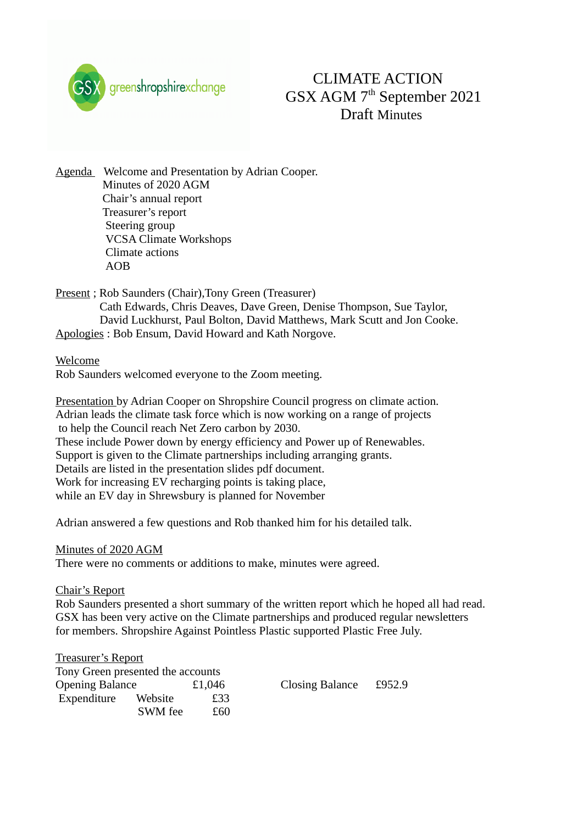

# CLIMATE ACTION GSX AGM 7th September 2021 Draft Minutes

Agenda Welcome and Presentation by Adrian Cooper. Minutes of 2020 AGM Chair's annual report Treasurer's report Steering group VCSA Climate Workshops Climate actions AOB

Present ; Rob Saunders (Chair), Tony Green (Treasurer) Cath Edwards, Chris Deaves, Dave Green, Denise Thompson, Sue Taylor, David Luckhurst, Paul Bolton, David Matthews, Mark Scutt and Jon Cooke. Apologies : Bob Ensum, David Howard and Kath Norgove.

Welcome

Rob Saunders welcomed everyone to the Zoom meeting.

Presentation by Adrian Cooper on Shropshire Council progress on climate action. Adrian leads the climate task force which is now working on a range of projects to help the Council reach Net Zero carbon by 2030. These include Power down by energy efficiency and Power up of Renewables. Support is given to the Climate partnerships including arranging grants. Details are listed in the presentation slides pdf document. Work for increasing EV recharging points is taking place, while an EV day in Shrewsbury is planned for November

Adrian answered a few questions and Rob thanked him for his detailed talk.

#### Minutes of 2020 AGM

There were no comments or additions to make, minutes were agreed.

Chair's Report

Rob Saunders presented a short summary of the written report which he hoped all had read. GSX has been very active on the Climate partnerships and produced regular newsletters for members. Shropshire Against Pointless Plastic supported Plastic Free July.

| <b>Treasurer's Report</b>         |         |        |                 |        |
|-----------------------------------|---------|--------|-----------------|--------|
| Tony Green presented the accounts |         |        |                 |        |
| <b>Opening Balance</b>            |         | £1,046 | Closing Balance | £952.9 |
| Expenditure                       | Website | £33    |                 |        |
|                                   | SWM fee | £60    |                 |        |